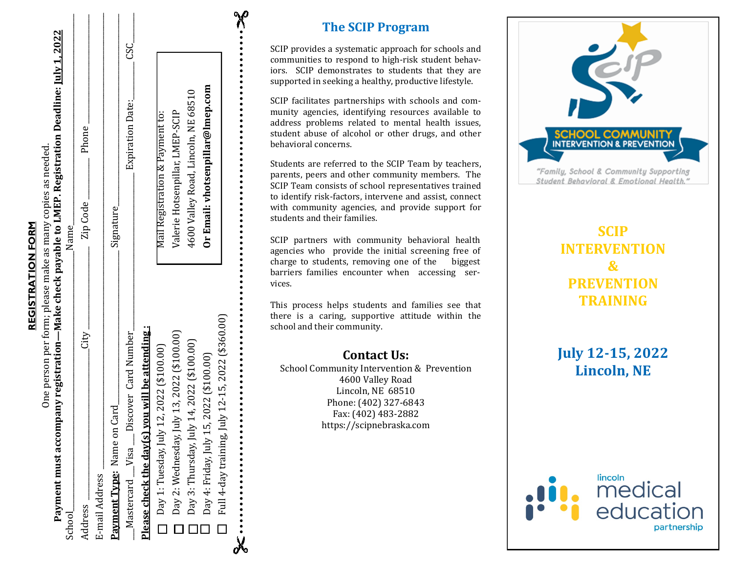| ı           |  |
|-------------|--|
|             |  |
|             |  |
|             |  |
|             |  |
| E<br>I      |  |
| Ξ           |  |
| ı           |  |
| I           |  |
| î<br>I<br>ì |  |
| ĩ           |  |
|             |  |
|             |  |

 $\Sigma$ 

022

| School                                                     | Name_                               |
|------------------------------------------------------------|-------------------------------------|
| Lity_<br>Address                                           | Phone<br>Zip Code <sub>-</sub>      |
| E-mail Address                                             |                                     |
| Card<br>Payment Type: Name on                              | Signature_                          |
| $\_$ Mastercard $\_\$ Visa $\_\$ Discover Card Number      | ပ္သ<br>Expiration Date:             |
| <b>Please check the day(s) you will be attending:</b>      |                                     |
| 12, 2022 (\$100.00)<br>$\Box$ Day 1: Tuesday, July         | Mail Registration & Payment to:     |
| Day 2: Wednesday, July 13, 2022 (\$100.00)<br>Ē            | Valerie Hotsenpillar, LMEP-SCIP     |
| Day 3: Thursday, July 14, 2022 (\$100.00)<br>$\Box$        | 4600 Valley Road, Lincoln, NE 68510 |
| Day 4: Friday, July 15, 2022 (\$100.00)                    | Or Email: vhotsenpillar@lmep.com    |
| Full 4-day training, July 12-15, 2022 (\$360.00)<br>$\Box$ |                                     |
| .                                                          | <b>X</b>                            |

## **The SCIP Program**

SCIP provides a systematic approach for schools and communities to respond to high -risk student behaviors. SCIP demonstrates to students that they are supported in seeking a healthy, productive lifestyle.

SCIP facilitates partnerships with schools and community agencies, identifying resources available to address problems related to mental health issues, student abuse of alcohol or other drugs, and other behavioral concerns.

Students are referred to the SCIP Team by teachers, parents, peers and other community members. The SCIP Team consists of school representatives trained to identify risk -factors, intervene and assist, connect with community agencies, and provide support for students and their families.

SCIP partners with community behavioral health agencies who provide the initial screening free of charge to students, removing one of the biggest barriers families encounter when accessing services.

This process helps students and families see that there is a caring, supportive attitude within the school and their community.

#### **Contact Us:**

School Community Intervention & Prevention 4600 Valley Road Lincoln, NE 68510 Phone: (402) 327 -6843 Fax: (402) 483 -2882 https://scipnebraska.com



"Family, School & Community Supporting Student Behavioral & Emotional Health."

# **SCIP INTERVENTION & PREVENTION TRAINING**

**July 12 -15, 2022 Lincoln, NE**